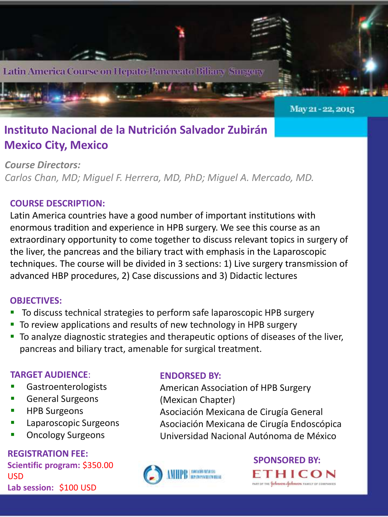

### **Instituto Nacional de la Nutrición Salvador Zubirán Mexico City, Mexico**

*Course Directors: Carlos Chan, MD; Miguel F. Herrera, MD, PhD; Miguel A. Mercado, MD.*

### **COURSE DESCRIPTION:**

Latin America countries have a good number of important institutions with enormous tradition and experience in HPB surgery. We see this course as an extraordinary opportunity to come together to discuss relevant topics in surgery of the liver, the pancreas and the biliary tract with emphasis in the Laparoscopic techniques. The course will be divided in 3 sections: 1) Live surgery transmission of advanced HBP procedures, 2) Case discussions and 3) Didactic lectures

### **OBJECTIVES:**

- To discuss technical strategies to perform safe laparoscopic HPB surgery
- To review applications and results of new technology in HPB surgery
- To analyze diagnostic strategies and therapeutic options of diseases of the liver, pancreas and biliary tract, amenable for surgical treatment.

### **TARGET AUDIENCE**:

- Gastroenterologists
- General Surgeons
- HPB Surgeons
- Laparoscopic Surgeons
- Oncology Surgeons

**REGISTRATION FEE: Scientific program:** \$350.00 USD **Lab session:** \$100 USD

### **ENDORSED BY:**

American Association of HPB Surgery (Mexican Chapter) Asociación Mexicana de Cirugía General Asociación Mexicana de Cirugía Endoscópica Universidad Nacional Autónoma de México



# **SPONSORED BY:**